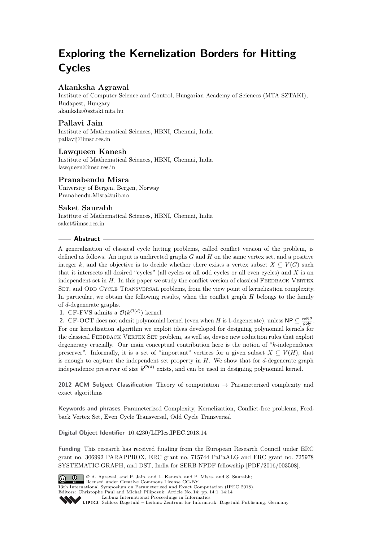# **Exploring the Kernelization Borders for Hitting Cycles**

## **Akanksha Agrawal**

Institute of Computer Science and Control, Hungarian Academy of Sciences (MTA SZTAKI), Budapest, Hungary [akanksha@sztaki.mta.hu](mailto:akanksha@sztaki.mta.hu)

## **Pallavi Jain**

Institute of Mathematical Sciences, HBNI, Chennai, India [pallavij@imsc.res.in](mailto:pallavij@imsc.res.in)

## **Lawqueen Kanesh**

Institute of Mathematical Sciences, HBNI, Chennai, India [lawqueen@imsc.res.in](mailto:lawqueen@imsc.res.in)

## **Pranabendu Misra**

University of Bergen, Bergen, Norway [Pranabendu.Misra@uib.no](mailto:Pranabendu.Misra@uib.no)

## **Saket Saurabh**

Institute of Mathematical Sciences, HBNI, Chennai, India [saket@imsc.res.in](mailto:saket@imsc.res.in)

### **Abstract**

A generalization of classical cycle hitting problems, called conflict version of the problem, is defined as follows. An input is undirected graphs *G* and *H* on the same vertex set, and a positive integer k, and the objective is to decide whether there exists a vertex subset  $X \subseteq V(G)$  such that it intersects all desired "cycles" (all cycles or all odd cycles or all even cycles) and *X* is an independent set in  $H$ . In this paper we study the conflict version of classical FEEDBACK VERTEX SET, and ODD CYCLE TRANSVERSAL problems, from the view point of kernelization complexity. In particular, we obtain the following results, when the conflict graph *H* belongs to the family of *d*-degenerate graphs.

**1.** CF-FVS admits a  $\mathcal{O}(k^{\mathcal{O}(d)})$  kernel.

**2.** CF-OCT does not admit polynomial kernel (even when *H* is 1-degenerate), unless  $NP \subseteq \frac{coNP}{poly}$ . For our kernelization algorithm we exploit ideas developed for designing polynomial kernels for the classical FEEDBACK VERTEX SET problem, as well as, devise new reduction rules that exploit degeneracy crucially. Our main conceptual contribution here is the notion of "*k*-independence preserver". Informally, it is a set of "important" vertices for a given subset  $X \subseteq V(H)$ , that is enough to capture the independent set property in *H*. We show that for *d*-degenerate graph independence preserver of size  $k^{\mathcal{O}(d)}$  exists, and can be used in designing polynomial kernel.

**2012 ACM Subject Classification** Theory of computation → Parameterized complexity and exact algorithms

**Keywords and phrases** Parameterized Complexity, Kernelization, Conflict-free problems, Feedback Vertex Set, Even Cycle Transversal, Odd Cycle Transversal

**Digital Object Identifier** [10.4230/LIPIcs.IPEC.2018.14](https://doi.org/10.4230/LIPIcs.IPEC.2018.14)

**Funding** This research has received funding from the European Research Council under ERC grant no. 306992 PARAPPROX, ERC grant no. 715744 PaPaALG and ERC grant no. 725978 SYSTEMATIC-GRAPH, and DST, India for SERB-NPDF fellowship [PDF/2016/003508].



© A. Agrawal, and P. Jain, and L. Kanesh, and P. Misra, and S. Saurabh;  $\circ$   $\circ$ licensed under Creative Commons License CC-BY

13th International Symposium on Parameterized and Exact Computation (IPEC 2018).

Editors: Christophe Paul and Michał Pilipczuk; Article No. 14; pp. 14:1–14[:14](#page-13-0) [Leibniz International Proceedings in Informatics](http://www.dagstuhl.de/lipics/)

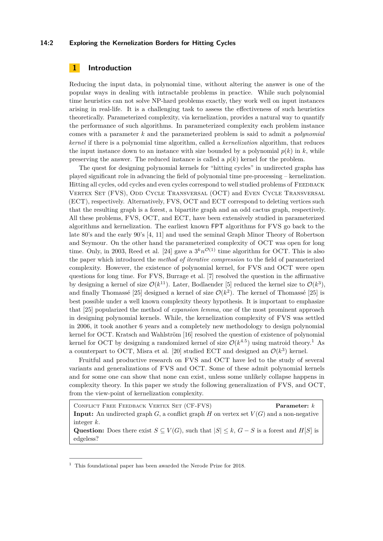#### **14:2 Exploring the Kernelization Borders for Hitting Cycles**

## **1 Introduction**

Reducing the input data, in polynomial time, without altering the answer is one of the popular ways in dealing with intractable problems in practice. While such polynomial time heuristics can not solve NP-hard problems exactly, they work well on input instances arising in real-life. It is a challenging task to assess the effectiveness of such heuristics theoretically. Parameterized complexity, via kernelization, provides a natural way to quantify the performance of such algorithms. In parameterized complexity each problem instance comes with a parameter *k* and the parameterized problem is said to admit a *polynomial kernel* if there is a polynomial time algorithm, called a *kernelization* algorithm, that reduces the input instance down to an instance with size bounded by a polynomial  $p(k)$  in  $k$ , while preserving the answer. The reduced instance is called a  $p(k)$  kernel for the problem.

The quest for designing polynomial kernels for "hitting cycles" in undirected graphs has played significant role in advancing the field of polynomial time pre-processing – kernelization. Hitting all cycles, odd cycles and even cycles correspond to well studied problems of FEEDBACK Vertex Set (FVS), Odd Cycle Transversal (OCT) and Even Cycle Transversal (ECT), respectively. Alternatively, FVS, OCT and ECT correspond to deleting vertices such that the resulting graph is a forest, a bipartite graph and an odd cactus graph, respectively. All these problems, FVS, OCT, and ECT, have been extensively studied in parameterized algorithms and kernelization. The earliest known FPT algorithms for FVS go back to the late 80's and the early 90's [\[4,](#page-12-0) [11\]](#page-12-1) and used the seminal Graph Minor Theory of Robertson and Seymour. On the other hand the parameterized complexity of OCT was open for long time. Only, in 2003, Reed et al. [\[24\]](#page-13-1) gave a  $3^k n^{\mathcal{O}(1)}$  time algorithm for OCT. This is also the paper which introduced the *method of iterative compression* to the field of parameterized complexity. However, the existence of polynomial kernel, for FVS and OCT were open questions for long time. For FVS, Burrage et al. [\[7\]](#page-12-2) resolved the question in the affirmative by designing a kernel of size  $\mathcal{O}(k^{11})$ . Later, Bodlaender [\[5\]](#page-12-3) reduced the kernel size to  $\mathcal{O}(k^3)$ , and finally Thomassé [\[25\]](#page-13-2) designed a kernel of size  $\mathcal{O}(k^2)$ . The kernel of Thomassé [25] is best possible under a well known complexity theory hypothesis. It is important to emphasize that [\[25\]](#page-13-2) popularized the method of *expansion lemma*, one of the most prominent approach in designing polynomial kernels. While, the kernelization complexity of FVS was settled in 2006, it took another 6 years and a completely new methodology to design polynomial kernel for OCT. Kratsch and Wahlström [\[16\]](#page-12-4) resolved the question of existence of polynomial kernel for OCT by designing a randomized kernel of size  $\mathcal{O}(k^{4.5})$  using matroid theory.<sup>[1](#page-1-0)</sup> As a counterpart to OCT, Misra et al. [\[20\]](#page-13-3) studied ECT and designed an  $\mathcal{O}(k^3)$  kernel.

Fruitful and productive research on FVS and OCT have led to the study of several variants and generalizations of FVS and OCT. Some of these admit polynomial kernels and for some one can show that none can exist, unless some unlikely collapse happens in complexity theory. In this paper we study the following generalization of FVS, and OCT, from the view-point of kernelization complexity.

Conflict Free Feedback Vertex Set (CF-FVS) **Parameter:** *k* **Input:** An undirected graph  $G$ , a conflict graph  $H$  on vertex set  $V(G)$  and a non-negative integer *k*.

Question: Does there exist  $S \subseteq V(G)$ , such that  $|S| \leq k$ ,  $G - S$  is a forest and  $H[S]$  is edgeless?

<span id="page-1-0"></span> $^{\rm 1}$  This foundational paper has been awarded the Nerode Prize for 2018.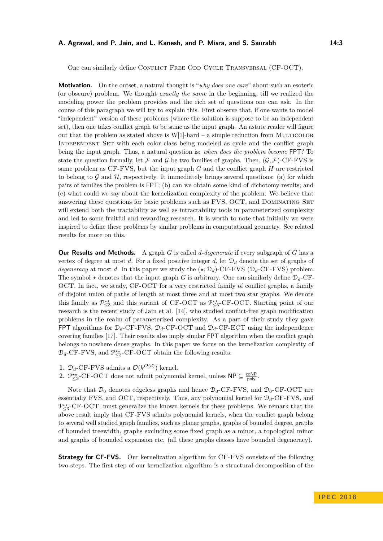One can similarly define CONFLICT FREE ODD CYCLE TRANSVERSAL (CF-OCT).

**Motivation.** On the outset, a natural thought is "*why does one care*" about such an esoteric (or obscure) problem. We thought *exactly the same* in the beginning, till we realized the modeling power the problem provides and the rich set of questions one can ask. In the course of this paragraph we will try to explain this. First observe that, if one wants to model "independent" version of these problems (where the solution is suppose to be an independent set), then one takes conflict graph to be same as the input graph. An astute reader will figure out that the problem as stated above is  $W[1]$ -hard – a simple reduction from MULTICOLOR Independent Set with each color class being modeled as cycle and the conflict graph being the input graph. Thus, a natural question is: *when does the problem become* FPT? To state the question formally, let F and G be two families of graphs. Then,  $(G, \mathcal{F})$ -CF-FVS is same problem as CF-FVS, but the input graph *G* and the conflict graph *H* are restricted to belong to  $\mathcal G$  and  $\mathcal H$ , respectively. It immediately brings several questions: (a) for which pairs of families the problem is FPT; (b) can we obtain some kind of dichotomy results; and (c) what could we say about the kernelization complexity of the problem. We believe that answering these questions for basic problems such as FVS, OCT, and DOMINATING SET will extend both the tractability as well as intractability tools in parameterized complexity and led to some fruitful and rewarding research. It is worth to note that initially we were inspired to define these problems by similar problems in computational geometry. See related results for more on this.

**Our Results and Methods.** A graph *G* is called *d-degenerate* if every subgraph of *G* has a vertex of degree at most *d*. For a fixed positive integer *d*, let  $\mathcal{D}_d$  denote the set of graphs of *degeneracy* at most *d*. In this paper we study the  $(\star, \mathcal{D}_d)$ -CF-FVS ( $\mathcal{D}_d$ -CF-FVS) problem. The symbol  $\star$  denotes that the input graph *G* is arbitrary. One can similarly define  $\mathcal{D}_d$ -CF-OCT. In fact, we study, CF-OCT for a very restricted family of conflict graphs, a family of disjoint union of paths of length at most three and at most two star graphs. We denote this family as  $\mathcal{P}_{\leq 3}^{**}$  and this variant of CF-OCT as  $\mathcal{P}_{\leq 3}^{**}$ -CF-OCT. Starting point of our research is the recent study of Jain et al. [\[14\]](#page-12-5), who studied conflict-free graph modification problems in the realm of parameterized complexity. As a part of their study they gave FPT algorithms for  $\mathcal{D}_d$ -CF-FVS,  $\mathcal{D}_d$ -CF-OCT and  $\mathcal{D}_d$ -CF-ECT using the independence covering families [\[17\]](#page-13-4). Their results also imply similar FPT algorithm when the conflict graph belongs to nowhere dense graphs. In this paper we focus on the kernelization complexity of  $\mathcal{D}_d$ -CF-FVS, and  $\mathcal{P}_{\leq 3}^{\star\star}$ -CF-OCT obtain the following results.

- **1.**  $\mathcal{D}_d$ -CF-FVS admits a  $\mathcal{O}(k^{\mathcal{O}(d)})$  kernel.
- 2.  $\mathbb{P}_{\leq 3}^{**}$ -CF-OCT does not admit polynomial kernel, unless  $\mathsf{NP} \subseteq \frac{\mathsf{coNP}}{\mathsf{poly}}$ .

Note that  $\mathcal{D}_0$  denotes edgeless graphs and hence  $\mathcal{D}_0$ -CF-FVS, and  $\mathcal{D}_0$ -CF-OCT are essentially FVS, and OCT, respectively. Thus, any polynomial kernel for D*d*-CF-FVS, and P<sup>★★</sup><sub>S</sub>-CF-OCT, must generalize the known kernels for these problems. We remark that the above result imply that CF-FVS admits polynomial kernels, when the conflict graph belong to several well studied graph families, such as planar graphs, graphs of bounded degree, graphs of bounded treewidth, graphs excluding some fixed graph as a minor, a topological minor and graphs of bounded expansion etc. (all these graphs classes have bounded degeneracy).

**Strategy for CF-FVS.** Our kernelization algorithm for CF-FVS consists of the following two steps. The first step of our kernelization algorithm is a structural decomposition of the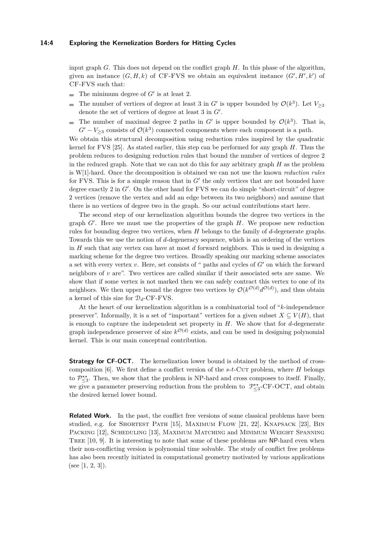input graph *G*. This does not depend on the conflict graph *H*. In this phase of the algorithm, given an instance  $(G, H, k)$  of CF-FVS we obtain an equivalent instance  $(G', H', k')$  of CF-FVS such that:

- The minimum degree of  $G'$  is at least 2.
- The number of vertices of degree at least 3 in *G'* is upper bounded by  $\mathcal{O}(k^3)$ . Let  $V_{\geq 3}$  $\equiv$ denote the set of vertices of degree at least  $3$  in  $G'$ .
- The number of maximal degree 2 paths in  $G'$  is upper bounded by  $\mathcal{O}(k^3)$ . That is,  $G' - V_{\geq 3}$  consists of  $\mathcal{O}(k^3)$  connected components where each component is a path.

We obtain this structural decomposition using reduction rules inspired by the quadratic kernel for FVS [\[25\]](#page-13-2). As stated earlier, this step can be performed for any graph *H*. Thus the problem reduces to designing reduction rules that bound the number of vertices of degree 2 in the reduced graph. Note that we can not do this for any arbitrary graph *H* as the problem is W[1]-hard. Once the decomposition is obtained we can not use the known *reduction rules* for FVS. This is for a simple reason that in  $G'$  the only vertices that are not bounded have degree exactly 2 in  $G'$ . On the other hand for FVS we can do simple "short-circuit" of degree 2 vertices (remove the vertex and add an edge between its two neighbors) and assume that there is no vertices of degree two in the graph. So our actual contributions start here.

The second step of our kernelization algorithm bounds the degree two vertices in the graph  $G'$ . Here we must use the properties of the graph  $H$ . We propose new reduction rules for bounding degree two vertices, when *H* belongs to the family of *d*-degenerate graphs. Towards this we use the notion of *d*-degeneracy sequence, which is an ordering of the vertices in *H* such that any vertex can have at most *d* forward neighbors. This is used in designing a marking scheme for the degree two vertices. Broadly speaking our marking scheme associates a set with every vertex  $v$ . Here, set consists of " paths and cycles of  $G'$  on which the forward neighbors of *v* are". Two vertices are called similar if their associated sets are same. We show that if some vertex is not marked then we can safely contract this vertex to one of its neighbors. We then upper bound the degree two vertices by  $\mathcal{O}(k^{\mathcal{O}(d)}d^{\mathcal{O}(d)})$ , and thus obtain a kernel of this size for  $\mathcal{D}_d$ -CF-FVS.

At the heart of our kernelization algorithm is a combinatorial tool of "*k*-independence preserver". Informally, it is a set of "important" vertices for a given subset  $X \subseteq V(H)$ , that is enough to capture the independent set property in *H*. We show that for *d*-degenerate graph independence preserver of size  $k^{\mathcal{O}(d)}$  exists, and can be used in designing polynomial kernel. This is our main conceptual contribution.

**Strategy for CF-OCT.** The kernelization lower bound is obtained by the method of crosscomposition [\[6\]](#page-12-6). We first define a conflict version of the *s*-*t*-Cut problem, where *H* belongs to  $\mathcal{P}_{\leq 3}^{**}$ . Then, we show that the problem is NP-hard and cross composes to itself. Finally, we give a parameter preserving reduction from the problem to  $\mathcal{P}_{\leq 3}^{**}$ -CF-OCT, and obtain the desired kernel lower bound.

**Related Work.** In the past, the conflict free versions of some classical problems have been studied, e.g. for Shortest Path [\[15\]](#page-12-7), Maximum Flow [\[21,](#page-13-5) [22\]](#page-13-6), Knapsack [\[23\]](#page-13-7), Bin PACKING [\[12\]](#page-12-8), SCHEDULING [\[13\]](#page-12-9), MAXIMUM MATCHING and MINIMUM WEIGHT SPANNING TREE [\[10,](#page-12-10) [9\]](#page-12-11). It is interesting to note that some of these problems are NP-hard even when their non-conflicting version is polynomial time solvable. The study of conflict free problems has also been recently initiated in computational geometry motivated by various applications (see [\[1,](#page-12-12) [2,](#page-12-13) [3\]](#page-12-14)).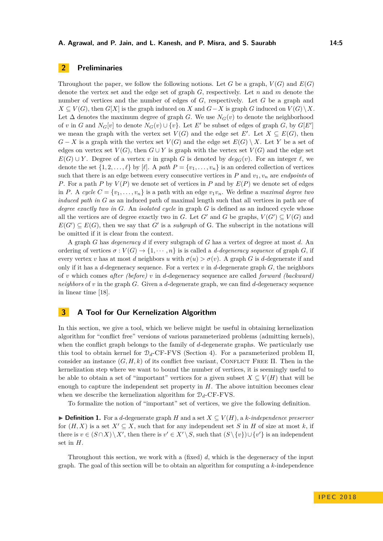## **2 Preliminaries**

Throughout the paper, we follow the following notions. Let *G* be a graph,  $V(G)$  and  $E(G)$ denote the vertex set and the edge set of graph *G,* respectively. Let *n* and *m* denote the number of vertices and the number of edges of *G*, respectively. Let *G* be a graph and *X* ⊆ *V*(*G*), then *G*[*X*] is the graph induced on *X* and *G*−*X* is graph *G* induced on  $V(G) \setminus X$ . Let  $\Delta$  denotes the maximum degree of graph *G*. We use  $N_G(v)$  to denote the neighborhood of *v* in *G* and  $N_G[v]$  to denote  $N_G(v) \cup \{v\}$ . Let *E'* be subset of edges of graph *G*, by  $G[E']$ we mean the graph with the vertex set  $V(G)$  and the edge set  $E'$ . Let  $X \subseteq E(G)$ , then *G* − *X* is a graph with the vertex set  $V(G)$  and the edge set  $E(G) \setminus X$ . Let *Y* be a set of edges on vertex set  $V(G)$ , then  $G \cup Y$  is graph with the vertex set  $V(G)$  and the edge set *E*(*G*) ∪ *Y*. Degree of a vertex *v* in graph *G* is denoted by  $deg_G(v)$ . For an integer  $\ell$ , we denote the set  $\{1, 2, \ldots, \ell\}$  by  $[\ell]$ . A *path*  $P = \{v_1, \ldots, v_n\}$  is an ordered collection of vertices such that there is an edge between every consecutive vertices in  $P$  and  $v_1, v_n$  are *endpoints* of *P*. For a path *P* by  $V(P)$  we denote set of vertices in *P* and by  $E(P)$  we denote set of edges in *P*. A *cycle*  $C = \{v_1, \ldots, v_n\}$  is a path with an edge  $v_1v_n$ . We define a *maximal degree two induced path in G* as an induced path of maximal length such that all vertices in path are of *degree exactly two in G*. An *isolated cycle* in graph *G* is defined as an induced cycle whose all the vertices are of degree exactly two in *G*. Let *G*<sup> $\prime$ </sup> and *G* be graphs,  $V(G') \subseteq V(G)$  and  $E(G') \subseteq E(G)$ , then we say that *G'* is a *subgraph* of G. The subscript in the notations will be omitted if it is clear from the context.

A graph *G* has *degeneracy d* if every subgraph of *G* has a vertex of degree at most *d*. An ordering of vertices  $\sigma: V(G) \to \{1, \cdots, n\}$  is is called a *d-degeneracy sequence* of graph *G*, if every vertex *v* has at most *d* neighbors *u* with  $\sigma(u) > \sigma(v)$ . A graph *G* is *d*-degenerate if and only if it has a *d*-degeneracy sequence. For a vertex  $v$  in *d*-degenerate graph  $G$ , the neighbors of *v* which comes *after (before) v* in *d*-degeneracy sequence are called *forward (backward) neighbors* of *v* in the graph *G*. Given a *d*-degenerate graph, we can find *d*-degeneracy sequence in linear time [\[18\]](#page-13-8).

## <span id="page-4-0"></span>**3 A Tool for Our Kernelization Algorithm**

In this section, we give a tool, which we believe might be useful in obtaining kernelization algorithm for "conflict free" versions of various parameterized problems (admitting kernels), when the conflict graph belongs to the family of *d*-degenerate graphs. We particularly use this tool to obtain kernel for  $\mathcal{D}_d$ -CF-FVS (Section [4\)](#page-7-0). For a parameterized problem  $\Pi$ . consider an instance  $(G, H, k)$  of its conflict free variant, CONFLICT FREE  $\Pi$ . Then in the kernelization step where we want to bound the number of vertices, it is seemingly useful to be able to obtain a set of "important" vertices for a given subset  $X \subseteq V(H)$  that will be enough to capture the independent set property in *H*. The above intuition becomes clear when we describe the kernelization algorithm for  $\mathcal{D}_d$ -CF-FVS.

To formalize the notion of "important" set of vertices, we give the following definition.

**► Definition 1.** For a *d*-degenerate graph *H* and a set  $X \subseteq V(H)$ , a *k*-independence preserver for  $(H, X)$  is a set  $X' \subseteq X$ , such that for any independent set *S* in *H* of size at most *k*, if there is  $v \in (S \cap X) \setminus X'$ , then there is  $v' \in X' \setminus S$ , such that  $(S \setminus \{v\}) \cup \{v'\}$  is an independent set in *H*.

Throughout this section, we work with a (fixed) *d*, which is the degeneracy of the input graph. The goal of this section will be to obtain an algorithm for computing a *k*-independence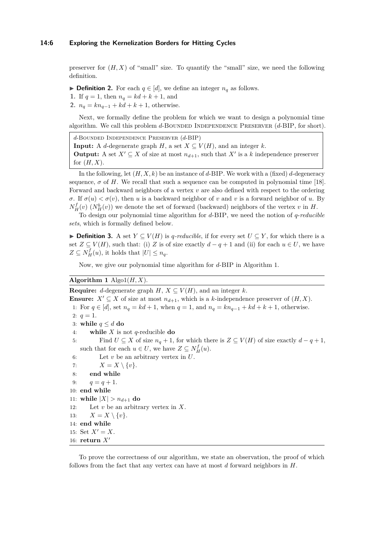preserver for  $(H, X)$  of "small" size. To quantify the "small" size, we need the following definition.

▶ **Definition 2.** For each  $q \in [d]$ , we define an integer  $n_q$  as follows.

- **1.** If  $q = 1$ , then  $n_q = kd + k + 1$ , and
- **2.**  $n_q = kn_{q-1} + kd + k + 1$ , otherwise.

Next, we formally define the problem for which we want to design a polynomial time algorithm. We call this problem *d*-BOUNDED INDEPENDENCE PRESERVER (*d*-BIP, for short).

*d*-Bounded Independence Preserver (*d*-BIP)

**Input:** A *d*-degenerate graph *H*, a set  $X \subseteq V(H)$ , and an integer *k*.

**Output:** A set  $X' \subseteq X$  of size at most  $n_{d+1}$ , such that  $X'$  is a *k* independence preserver for (*H, X*).

In the following, let  $(H, X, k)$  be an instance of *d*-BIP. We work with a (fixed) *d*-degeneracy sequence,  $\sigma$  of H. We recall that such a sequence can be computed in polynomial time [\[18\]](#page-13-8). Forward and backward neighbors of a vertex *v* are also defined with respect to the ordering *σ*. If  $σ(u) < σ(v)$ , then *u* is a backward neighbor of *v* and *v* is a forward neighbor of *u*. By  $N_H^f(v)$  ( $N_H^b(v)$ ) we denote the set of forward (backward) neighbors of the vertex *v* in *H*.

To design our polynomial time algorithm for *d*-BIP, we need the notion of *q*-*reducible sets*, which is formally defined below.

**► Definition 3.** A set  $Y \subseteq V(H)$  is *q*-reducible, if for every set  $U \subseteq Y$ , for which there is a set  $Z \subseteq V(H)$ , such that: (i) *Z* is of size exactly  $d - q + 1$  and (ii) for each  $u \in U$ , we have  $Z \subseteq N_H^f(u)$ , it holds that  $|U| \le n_q$ .

Now, we give our polynomial time algorithm for *d*-BIP in Algorithm [1.](#page-5-0)

#### <span id="page-5-0"></span>**Algorithm 1** Algo $1(H, X)$ .

**Require:** *d*-degenerate graph *H*,  $X \subseteq V(H)$ , and an integer *k*. **Ensure:**  $X' \subseteq X$  of size at most  $n_{d+1}$ , which is a *k*-independence preserver of  $(H, X)$ . 1: For *q* ∈ [*d*], set *n<sub>q</sub>* = *kd* + 1, when *q* = 1, and *n<sub>q</sub>* =  $kn_{q-1} + kd + k + 1$ , otherwise. 2:  $q=1$ . 3: while  $q \leq d$  do 4: **while** *X* is not *q*-reducible **do** 5: Find *U*  $\subseteq$  *X* of size  $n_q + 1$ , for which there is  $Z \subseteq V(H)$  of size exactly  $d - q + 1$ , such that for each  $u \in U$ , we have  $Z \subseteq N_H^f(u)$ . 6: Let *v* be an arbitrary vertex in *U*. 7:  $X = X \setminus \{v\}.$ 8: **end while** 9:  $q = q + 1$ . 10: **end while** 11: **while**  $|X| > n_{d+1}$  **do** 12: Let *v* be an arbitrary vertex in *X*. 13:  $X = X \setminus \{v\}.$ 14: **end while** 15: Set  $X' = X$ . 16: **return**  $X'$ 

To prove the correctness of our algorithm, we state an observation, the proof of which follows from the fact that any vertex can have at most *d* forward neighbors in *H*.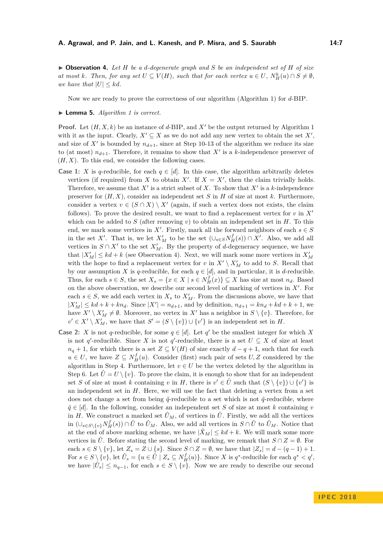<span id="page-6-0"></span>I **Observation 4.** *Let H be a d-degenerate graph and S be an independent set of H of size at most k. Then, for any set*  $U \subseteq V(H)$ *, such that for each vertex*  $u \in U$ *,*  $N_H^b(u) \cap S \neq \emptyset$ *, we have that*  $|U| \leq kd$ *.* 

Now we are ready to prove the correctness of our algorithm (Algorithm [1\)](#page-5-0) for *d*-BIP.

#### <span id="page-6-1"></span>▶ **Lemma 5.** *Algorithm [1](#page-5-0) is correct.*

**Proof.** Let  $(H, X, k)$  be an instance of *d*-BIP, and  $X'$  be the output returned by Algorithm [1](#page-5-0) with it as the input. Clearly,  $X' \subseteq X$  as we do not add any new vertex to obtain the set  $X'$ , and size of  $X'$  is bounded by  $n_{d+1}$ , since at Step 10-13 of the algorithm we reduce its size to (at most)  $n_{d+1}$ . Therefore, it remains to show that X' is a k-independence preserver of  $(H, X)$ . To this end, we consider the following cases.

- **Case 1:** *X* is *q*-reducible, for each  $q \in [d]$ . In this case, the algorithm arbitrarily deletes vertices (if required) from *X* to obtain *X'*. If  $X = X'$ , then the claim trivially holds. Therefore, we assume that  $X'$  is a strict subset of  $X$ . To show that  $X'$  is a  $k$ -independence preserver for  $(H, X)$ , consider an independent set *S* in *H* of size at most *k*. Furthermore, consider a vertex  $v \in (S \cap X) \setminus X'$  (again, if such a vertex does not exists, the claim follows). To prove the desired result, we want to find a replacement vertex for  $v$  in  $X'$ which can be added to  $S$  (after removing  $v$ ) to obtain an independent set in  $H$ . To this end, we mark some vertices in  $X'$ . Firstly, mark all the forward neighbors of each  $s \in S$ in the set *X'*. That is, we let  $X'_M$  to be the set  $(\cup_{s\in S} N_H^f(s)) \cap X'$ . Also, we add all vertices in  $S \cap X'$  to the set  $X'_{M}$ . By the property of *d*-degeneracy sequence, we have that  $|X'_M| \leq kd + k$  (see Observation [4\)](#page-6-0). Next, we will mark some more vertices in  $X'_M$ with the hope to find a replacement vertex for *v* in  $X' \setminus X'_M$  to add to *S*. Recall that by our assumption *X* is *q*-reducible, for each  $q \in [d]$ , and in particular, it is *d*-reducible. Thus, for each  $s \in S$ , the set  $X_s = \{x \in X \mid s \in N_H^f(x)\} \subseteq X$  has size at most  $n_d$ . Based on the above observation, we describe our second level of marking of vertices in  $X'$ . For each  $s \in S$ , we add each vertex in  $X_s$  to  $X'_M$ . From the discussions above, we have that  $|X'_M| \leq kd + k + kn_d$ . Since  $|X'| = n_{d+1}$ , and by definition,  $n_{d+1} = kn_d + kd + k + 1$ , we have  $X' \setminus X'_M \neq \emptyset$ . Moreover, no vertex in  $X'$  has a neighbor in  $S \setminus \{v\}$ . Therefore, for  $v' \in X' \setminus X'_M$ , we have that  $S' = (S \setminus \{v\}) \cup \{v'\}$  is an independent set in *H*.
- **Case 2:** *X* is not *q*-reducible, for some  $q \in [d]$ . Let  $q'$  be the smallest integer for which *X* is not *q*'-reducible. Since *X* is not *q*'-reducible, there is a set  $U \subseteq X$  of size at least  $n_q + 1$ , for which there is a set *Z* ⊆ *V*(*H*) of size exactly  $d - q + 1$ , such that for each  $u \in U$ , we have  $Z \subseteq N_H^f(u)$ . Consider (first) such pair of sets  $U, Z$  considered by the algorithm in Step 4. Furthermore, let  $v \in U$  be the vertex deleted by the algorithm in Step 6. Let  $\hat{U} = U \setminus \{v\}$ . To prove the claim, it is enough to show that for an independent set *S* of size at most *k* containing *v* in *H*, there is  $v' \in \hat{U}$  such that  $(S \setminus \{v\}) \cup \{v'\}$  is an independent set in  $H$ . Here, we will use the fact that deleting a vertex from a set does not change a set from being  $\tilde{q}$ -reducible to a set which is not  $\tilde{q}$ -reducible, where  $\tilde{q} \in [d]$ . In the following, consider an independent set *S* of size at most *k* containing *v* in *H*. We construct a marked set  $\hat{U}_M$ , of vertices in  $\hat{U}$ . Firstly, we add all the vertices in  $(\bigcup_{s \in S \setminus \{v\}} N_H^f(s)) \cap \hat{U}$  to  $\hat{U}_M$ . Also, we add all vertices in  $S \cap \hat{U}$  to  $\hat{U}_M$ . Notice that at the end of above marking scheme, we have  $|\hat{X}_M| \leq kd + k$ . We will mark some more vertices in  $\hat{U}$ . Before stating the second level of marking, we remark that  $S \cap Z = \emptyset$ . For each  $s \in S \setminus \{v\}$ , let  $Z_s = Z \cup \{s\}$ . Since  $S \cap Z = \emptyset$ , we have that  $|Z_s| = d - (q - 1) + 1$ . For  $s \in S \setminus \{v\}$ , let  $\hat{U}_s = \{u \in \hat{U} \mid Z_s \subseteq N_H^f(u)\}$ . Since X is  $q^*$ -reducible for each  $q^* < q'$ , we have  $|\hat{U}_s| \leq n_{q-1}$ , for each  $s \in S \setminus \{v\}$ . Now we are ready to describe our second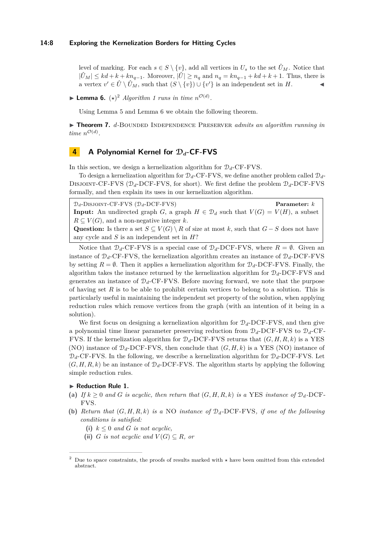level of marking. For each  $s \in S \setminus \{v\}$ , add all vertices in  $U_s$  to the set  $\hat{U}_M$ . Notice that  $|\hat{U}_M|$  ≤  $kd + k + kn_{q-1}$ . Moreover,  $|\hat{U}|$  ≥  $n_q$  and  $n_q = kn_{q-1} + kd + k + 1$ . Thus, there is a vertex  $v' \in \hat{U} \setminus \hat{U}_M$ , such that  $(S \setminus \{v\}) \cup \{v'\}$  is an independent set in *H*.

<span id="page-7-2"></span>**Example [1](#page-5-0) Lemma 6.**  $(\star)^2$  $(\star)^2$  *Algorithm* 1 *runs in time*  $n^{\mathcal{O}(d)}$ *.* 

Using Lemma [5](#page-6-1) and Lemma [6](#page-7-2) we obtain the following theorem.

▶ **Theorem 7.** *d*-BOUNDED INDEPENDENCE PRESERVER *admits an algorithm running in time*  $n^{\mathcal{O}(d)}$ .

## <span id="page-7-0"></span>**4 A Polynomial Kernel for** D*d***-CF-FVS**

In this section, we design a kernelization algorithm for  $\mathcal{D}_d$ -CF-FVS.

To design a kernelization algorithm for  $\mathcal{D}_d$ -CF-FVS, we define another problem called  $\mathcal{D}_d$ -DISJOINT-CF-FVS ( $\mathcal{D}_d$ -DCF-FVS, for short). We first define the problem  $\mathcal{D}_d$ -DCF-FVS formally, and then explain its uses in our kernelization algorithm.

D*d*-Disjoint-CF-FVS (D*d*-DCF-FVS) **Parameter:** *k* **Input:** An undirected graph *G*, a graph  $H \in \mathcal{D}_d$  such that  $V(G) = V(H)$ , a subset  $R \subseteq V(G)$ , and a non-negative integer *k*. **Question:** Is there a set  $S \subseteq V(G) \setminus R$  of size at most *k*, such that  $G - S$  does not have any cycle and *S* is an independent set in *H*?

Notice that  $\mathcal{D}_d$ -CF-FVS is a special case of  $\mathcal{D}_d$ -DCF-FVS, where  $R = \emptyset$ . Given an instance of  $\mathcal{D}_d$ -CF-FVS, the kernelization algorithm creates an instance of  $\mathcal{D}_d$ -DCF-FVS by setting  $R = \emptyset$ . Then it applies a kernelization algorithm for  $\mathcal{D}_d$ -DCF-FVS. Finally, the algorithm takes the instance returned by the kernelization algorithm for D*d*-DCF-FVS and generates an instance of  $\mathcal{D}_d$ -CF-FVS. Before moving forward, we note that the purpose of having set *R* is to be able to prohibit certain vertices to belong to a solution. This is particularly useful in maintaining the independent set property of the solution, when applying reduction rules which remove vertices from the graph (with an intention of it being in a solution).

We first focus on designing a kernelization algorithm for  $\mathcal{D}_d$ -DCF-FVS, and then give a polynomial time linear parameter preserving reduction from D*d*-DCF-FVS to D*d*-CF-FVS. If the kernelization algorithm for  $\mathcal{D}_d$ -DCF-FVS returns that  $(G, H, R, k)$  is a YES (NO) instance of  $\mathcal{D}_d$ -DCF-FVS, then conclude that  $(G, H, k)$  is a YES (NO) instance of  $\mathcal{D}_d$ -CF-FVS. In the following, we describe a kernelization algorithm for  $\mathcal{D}_d$ -DCF-FVS. Let  $(G, H, R, k)$  be an instance of  $\mathcal{D}_d$ -DCF-FVS. The algorithm starts by applying the following simple reduction rules.

#### <span id="page-7-3"></span>▶ Reduction Rule 1.

- (a) If  $k \geq 0$  and G is acyclic, then return that  $(G, H, R, k)$  is a YES instance of  $\mathcal{D}_d$ -DCF-FVS*.*
- **(b)** *Return that* (*G, H, R, k*) *is a* NO *instance of* D*d-*DCF-FVS*, if one of the following conditions is satisfied:*
	- (i)  $k \leq 0$  *and G is not acyclic,*
	- (ii) *G is not acyclic and*  $V(G) \subseteq R$ *, or*

<span id="page-7-1"></span><sup>&</sup>lt;sup>2</sup> Due to space constraints, the proofs of results marked with  $\star$  have been omitted from this extended abstract.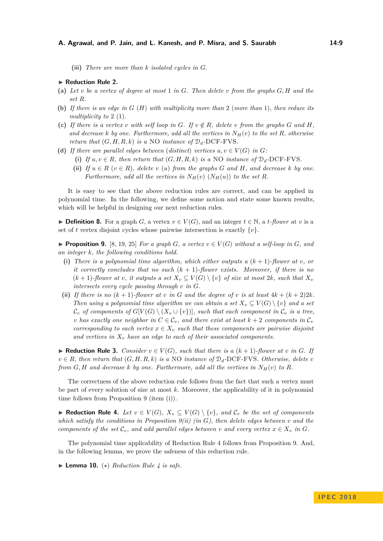**(iii)** *There are more than k isolated cycles in G.*

#### ▶ Reduction Rule 2.

- **(a)** *Let v be a vertex of degree at most* 1 *in G. Then delete v from the graphs G, H and the set R.*
- **(b)** *If there is an edge in G* (*H*) *with multiplicity more than* 2 (*more than* 1)*, then reduce its multiplicity to* 2 (1)*.*
- (c) If there is a vertex *v* with self loop in G. If  $v \notin R$ , delete *v* from the graphs G and H, and decrease *k by* one. Furthermore, add all the vertices in  $N_H(v)$  to the set R, otherwise *return that*  $(G, H, R, k)$  *is a* NO *instance of*  $\mathcal{D}_d$ -DCF-FVS.
- (d) If there are parallel edges between (distinct) vertices  $u, v \in V(G)$  in  $G$ :
	- (i) If  $u, v \in R$ *, then return that*  $(G, H, R, k)$  *is a* NO *instance of*  $\mathcal{D}_d$ -DCF-FVS.
	- **(iii)** *If*  $u \in R$  ( $v \in R$ )*, delete*  $v$  ( $u$ ) *from the graphs*  $G$  *and*  $H$ *, and decrease*  $k$  *by one. Furthermore, add all the vertices in*  $N_H(v)$  ( $N_H(u)$ ) *to the set R.*

It is easy to see that the above reduction rules are correct, and can be applied in polynomial time. In the following, we define some notion and state some known results, which will be helpful in designing our next reduction rules.

▶ **Definition 8.** For a graph *G*, a vertex  $v \in V(G)$ , and an integer  $t \in \mathbb{N}$ , a *t*-flower at *v* is a set of *t* vertex disjoint cycles whose pairwise intersection is exactly  $\{v\}$ .

<span id="page-8-0"></span>**Proposition 9.** [\[8,](#page-12-15) [19,](#page-13-9) [25\]](#page-13-2) *For a graph G, a vertex*  $v \in V(G)$  *without a self-loop in G, and an integer k, the following conditions hold.*

- **(i)** *There is a polynomial time algorithm, which either outputs a* (*k* + 1)*-flower at v, or it correctly concludes that no such* (*k* + 1)*-flower exists. Moreover, if there is no*  $(k+1)$ -flower at *v*, it outputs a set  $X_v \subseteq V(G) \setminus \{v\}$  of size at most 2k, such that  $X_v$ *intersects every cycle passing through v in G.*
- (ii) If there is no  $(k + 1)$ *-flower at*  $v$  *in*  $G$  *and the degree of*  $v$  *is at least*  $4k + (k + 2)2k$ *. Then using a polynomial time algorithm we can obtain a set*  $X_v \subseteq V(G) \setminus \{v\}$  and a set  $\mathcal{C}_v$  *of components of*  $G[V(G) \setminus (X_v \cup \{v\})]$ *, such that each component in*  $\mathcal{C}_v$  *is a tree, v* has exactly one neighbor in  $C \in \mathcal{C}_v$ , and there exist at least  $k+2$  components in  $\mathcal{C}_v$ *corresponding to each vertex*  $x \in X_v$  *such that these components are pairwise disjoint and vertices in X<sup>v</sup> have an edge to each of their associated components.*

<span id="page-8-2"></span>▶ **Reduction Rule 3.** *Consider*  $v \in V(G)$ *, such that there is a*  $(k+1)$ *-flower at v in G. If*  $v \in R$ *, then return that*  $(G, H, R, k)$  *is a* NO *instance of*  $\mathcal{D}_d$ -DCF-FVS*. Otherwise, delete v from G, H* and decrease *k by* one. Furthermore, add all the vertices in  $N_H(v)$  to *R*.

The correctness of the above reduction rule follows from the fact that such a vertex must be part of every solution of size at most *k*. Moreover, the applicability of it in polynomial time follows from Proposition [9](#page-8-0) (item (i)).

<span id="page-8-1"></span>▶ **Reduction Rule 4.** *Let*  $v \in V(G)$ *,*  $X_v \subseteq V(G) \setminus \{v\}$ *, and*  $\mathcal{C}_v$  *be the set of components which satisfy the conditions in Proposition [9\(](#page-8-0)ii) (in G), then delete edges between v and the components of the set*  $\mathcal{C}_v$ , and add parallel edges between *v* and every vertex  $x \in X_v$  in G.

The polynomial time applicability of Reduction Rule [4](#page-8-1) follows from Proposition [9.](#page-8-0) And, in the following lemma, we prove the safeness of this reduction rule.

 $\blacktriangleright$  **Lemma 10.** ( $\star$ ) *Reduction Rule [4](#page-8-1) is safe.*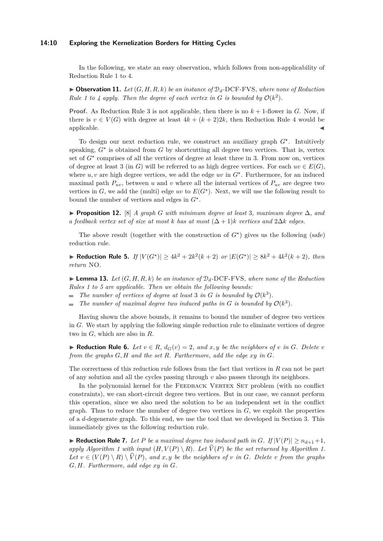#### **14:10 Exploring the Kernelization Borders for Hitting Cycles**

In the following, we state an easy observation, which follows from non-applicability of Reduction Rule [1](#page-7-3) to [4.](#page-8-1)

 $\triangleright$  **Observation 11.** Let  $(G, H, R, k)$  be an instance of  $\mathcal{D}_d$ -DCF-FVS, where none of Reduction *Rule* [1](#page-7-3) to [4](#page-8-1) apply. Then the degree of each vertex in G is bounded by  $O(k^2)$ .

**Proof.** As Reduction Rule [3](#page-8-2) is not applicable, then there is no  $k + 1$ -flower in *G*. Now, if there is  $v \in V(G)$  with degree at least  $4k + (k+2)2k$ , then Reduction Rule [4](#page-8-1) would be  $applied be.$ 

To design our next reduction rule, we construct an auxiliary graph *G?* . Intuitively speaking,  $G^*$  is obtained from  $G$  by shortcutting all degree two vertices. That is, vertex set of  $G^*$  comprises of all the vertices of degree at least three in 3. From now on, vertices of degree at least 3 (in *G*) will be referred to as high degree vertices. For each  $uv \in E(G)$ , where  $u, v$  are high degree vertices, we add the edge  $uv$  in  $G^*$ . Furthermore, for an induced maximal path  $P_{uv}$ , between *u* and *v* where all the internal vertices of  $P_{uv}$  are degree two vertices in  $G$ , we add the (multi) edge  $uv$  to  $E(G^*)$ . Next, we will use the following result to bound the number of vertices and edges in *G?* .

I **Proposition 12.** [\[8\]](#page-12-15) *A graph G with minimum degree at least* 3*, maximum degree* ∆*, and a feedback vertex set of size at most k has at most*  $(\Delta + 1)$ *k vertices and*  $2\Delta k$  *edges.* 

The above result (together with the construction of  $G^*$ ) gives us the following (safe) reduction rule.

<span id="page-9-0"></span>▶ **Reduction Rule 5.** *If*  $|V(G^*)| \ge 4k^2 + 2k^2(k+2)$  *or*  $|E(G^*)| \ge 8k^2 + 4k^2(k+2)$ *, then return* NO*.*

 $\blacktriangleright$  **Lemma 13.** Let  $(G, H, R, k)$  be an instance of  $\mathcal{D}_d$ -DCF-FVS, where none of the Reduction *Rules [1](#page-7-3) to [5](#page-9-0) are applicable. Then we obtain the following bounds:*

The number of vertices of degree at least 3 in  $G$  is bounded by  $\mathcal{O}(k^3)$ .

*The number of maximal degree two induced paths in G is bounded by*  $\mathcal{O}(k^3)$ *.*  $\bar{\phantom{a}}$ 

Having shown the above bounds, it remains to bound the number of degree two vertices in *G*. We start by applying the following simple reduction rule to eliminate vertices of degree two in *G*, which are also in *R*.

▶ **Reduction Rule 6.** *Let*  $v \in R$ *,*  $d_G(v) = 2$ *, and*  $x, y$  *be the neighbors of*  $v$  *in*  $G$ *. Delete*  $v$ *from the graphs G, H and the set R. Furthermore, add the edge xy in G.*

The correctness of this reduction rule follows from the fact that vertices in *R* can not be part of any solution and all the cycles passing through *v* also passes through its neighbors.

In the polynomial kernel for the FEEDBACK VERTEX SET problem (with no conflict constraints), we can short-circuit degree two vertices. But in our case, we cannot perform this operation, since we also need the solution to be an independent set in the conflict graph. Thus to reduce the number of degree two vertices in *G*, we exploit the properties of a *d*-degenerate graph. To this end, we use the tool that we developed in Section [3.](#page-4-0) This immediately gives us the following reduction rule.

<span id="page-9-1"></span> $\blacktriangleright$  **Reduction Rule 7.** Let P be a maximal degree two induced path in G. If  $|V(P)| \ge n_{d+1}+1$ , *apply Algorithm [1](#page-5-0) with input*  $(H, V(P) \setminus R)$ *. Let*  $\hat{V}(P)$  *be the set returned by Algorithm [1.](#page-5-0) Let*  $v \in (V(P) \setminus R) \setminus \hat{V}(P)$ , and  $x, y$  be the neighbors of  $v$  in  $G$ . Delete  $v$  from the graphs *G, H. Furthermore, add edge xy in G.*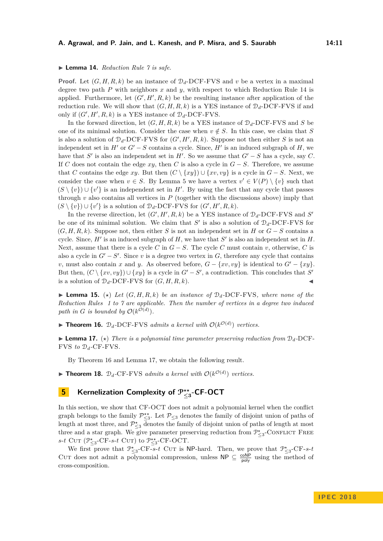#### <span id="page-10-0"></span>▶ **Lemma 14.** *Reduction Rule*  $\gamma$  *is safe.*

**Proof.** Let  $(G, H, R, k)$  be an instance of  $\mathcal{D}_d$ -DCF-FVS and *v* be a vertex in a maximal degree two path *P* with neighbors *x* and *y*, with respect to which Reduction Rule [14](#page-10-0) is applied. Furthermore, let  $(G', H', R, k)$  be the resulting instance after application of the reduction rule. We will show that  $(G, H, R, k)$  is a YES instance of  $\mathcal{D}_d$ -DCF-FVS if and only if  $(G', H', R, k)$  is a YES instance of  $\mathcal{D}_d$ -DCF-FVS.

In the forward direction, let  $(G, H, R, k)$  be a YES instance of  $\mathcal{D}_d$ -DCF-FVS and *S* be one of its minimal solution. Consider the case when  $v \notin S$ . In this case, we claim that *S* is also a solution of  $\mathcal{D}_d$ -DCF-FVS for  $(G', H', R, k)$ . Suppose not then either *S* is not an independent set in  $H'$  or  $G' - S$  contains a cycle. Since,  $H'$  is an induced subgraph of  $H$ , we have that  $S'$  is also an independent set in  $H'$ . So we assume that  $G'-S$  has a cycle, say  $C$ . If *C* does not contain the edge *xy*, then *C* is also a cycle in *G* − *S*. Therefore, we assume that *C* contains the edge *xy*. But then  $(C \setminus \{xy\}) \cup \{xv, vy\}$  is a cycle in  $G - S$ . Next, we consider the case when  $v \in S$ . By Lemma [5](#page-6-1) we have a vertex  $v' \in V(P) \setminus \{v\}$  such that  $(S \setminus \{v\}) \cup \{v'\}$  is an independent set in *H'*. By using the fact that any cycle that passes through  $v$  also contains all vertices in  $P$  (together with the discussions above) imply that  $(S \setminus \{v\}) \cup \{v'\}$  is a solution of  $\mathcal{D}_d$ -DCF-FVS for  $(G', H', R, k)$ .

In the reverse direction, let  $(G', H', R, k)$  be a YES instance of  $\mathcal{D}_d$ -DCF-FVS and *S'* be one of its minimal solution. We claim that  $S'$  is also a solution of  $\mathcal{D}_d$ -DCF-FVS for  $(G, H, R, k)$ . Suppose not, then either *S* is not an independent set in *H* or  $G - S$  contains a cycle. Since,  $H'$  is an induced subgraph of  $H$ , we have that  $S'$  is also an independent set in  $H$ . Next, assume that there is a cycle *C* in *G* − *S*. The cycle *C* must contain *v*, otherwise, *C* is also a cycle in  $G' - S'$ . Since *v* is a degree two vertex in  $G$ , therefore any cycle that contains *v*, must also contain *x* and *y*. As observed before,  $G - \{xv, vy\}$  is identical to  $G' - \{xy\}$ . But then,  $(C \setminus \{xy, vy\}) \cup \{xy\}$  is a cycle in  $G' - S'$ , a contradiction. This concludes that  $S'$ is a solution of  $\mathcal{D}_d$ -DCF-FVS for  $(G, H, R, k)$ .

 $\blacktriangleright$  **Lemma 15.** ( $\star$ ) *Let*  $(G, H, R, k)$  *be an instance of*  $\mathcal{D}_d$ -DCF-FVS, where none of the *Reduction Rules [1](#page-7-3) to [7](#page-9-1) are applicable. Then the number of vertices in a degree two induced* path in *G* is bounded by  $\mathcal{O}(k^{\mathcal{O}(d)})$ .

<span id="page-10-1"></span> $\blacktriangleright$  **Theorem 16.**  $\mathcal{D}_d$ -DCF-FVS *admits a kernel with*  $\mathcal{O}(k^{\mathcal{O}(d)})$  *vertices.* 

<span id="page-10-2"></span>**Lemma 17.** ( $\star$ ) There is a polynomial time parameter preserving reduction from  $D_d$ -DCF-FVS *to* D*d-*CF-FVS*.*

By Theorem [16](#page-10-1) and Lemma [17,](#page-10-2) we obtain the following result.

 $\blacktriangleright$  **Theorem 18.**  $\mathcal{D}_d$ -CF-FVS *admits a kernel with*  $\mathcal{O}(k^{\mathcal{O}(d)})$  *vertices.* 

## **5 Kernelization Complexity of** P*??* **≤3 -CF-OCT**

In this section, we show that CF-OCT does not admit a polynomial kernel when the conflict graph belongs to the family  $\mathcal{P}_{\leq 3}^{**}$ . Let  $\mathcal{P}_{\leq 3}$  denotes the family of disjoint union of paths of length at most three, and  $\mathcal{P}_{\leq 3}^{\star}$  denotes the family of disjoint union of paths of length at most three and a star graph. We give parameter preserving reduction from  $\mathcal{P}^{\star}_{\leq 3}$ -CONFLICT FREE s-*t* Cut ( $\mathcal{P}_{\leq 3}^{\star}$ -CF-*s*-*t* Cut) to  $\mathcal{P}_{\leq 3}^{\star\star}$ -CF-OCT.

We first prove that  $\mathcal{P}_{\leq 3}^{\star}$ -CF- $s$ -*t* Cur is NP-hard. Then, we prove that  $\mathcal{P}_{\leq 3}^{\star}$ -CF- $s$ -*t* CUT does not admit a polynomial compression, unless  $\mathsf{NP} \subseteq \frac{\mathsf{coNP}}{\mathsf{poly}}$  using the method of cross-composition.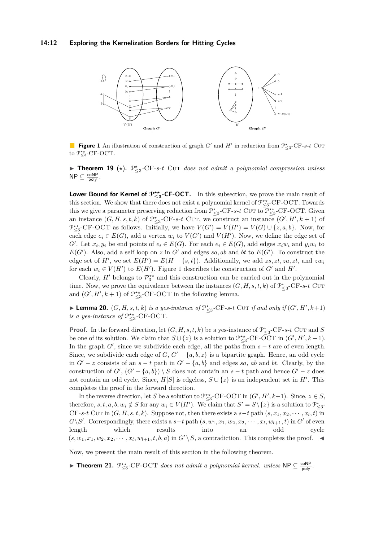#### **14:12 Exploring the Kernelization Borders for Hitting Cycles**

<span id="page-11-0"></span>

**Figure 1** An illustration of construction of graph *G*<sup>'</sup> and *H*<sup>'</sup> in reduction from  $\mathcal{P}_{\leq 3}^{\star}$ -CF-*s-t* Cut to  $\mathcal{P}_{\leq 3}^{\star\star}$ -CF-OCT.

▶ Theorem 19 (★).  $\mathcal{P}_{\leq 3}^{\star}$ -CF-*s*-*t* Cut *does not admit a polynomial compression unless*  $\mathsf{NP} \subseteq \frac{\mathsf{coNP}}{\mathsf{poly}}$ .

Lower Bound for Kernel of  $\mathcal{P}_{\leq 3}^{**}$ -CF-OCT. In this subsection, we prove the main result of this section. We show that there does not exist a polynomial kernel of  $\mathcal{P}_{\leq 3}^{**}$ -CF-OCT. Towards this we give a parameter preserving reduction from  $\mathcal{P}^{\star}_{\leq 3}$ -CF-*s*-*t* Cu<sub>T</sub> to  $\mathcal{P}^{\star}_{\leq 3}$ -CF-OCT. Given an instance  $(G, H, s, t, k)$  of  $\mathcal{P}_{\leq 3}^{\star}$ -CF-*s*-*t* Cut, we construct an instance  $(G', H', k + 1)$  of  $\mathcal{P}_{\leq 3}^{**}$ -CF-OCT as follows. Initially, we have  $V(G') = V(H') = V(G) \cup \{z, a, b\}$ . Now, for each edge  $e_i \in E(G)$ , add a vertex  $w_i$  to  $V(G')$  and  $V(H')$ . Now, we define the edge set of  $G'$ . Let  $x_i, y_i$  be end points of  $e_i \in E(G)$ . For each  $e_i \in E(G)$ , add edges  $x_iw_i$  and  $y_iw_i$  to  $E(G')$ . Also, add a self loop on *z* in G' and edges *sa, ab* and *bt* to  $E(G')$ . To construct the edge set of  $H'$ , we set  $E(H') = E(H - \{s, t\})$ . Additionally, we add *zs, zt, za, zt*, and *zw<sub>i</sub>* for each  $w_i \in V(H')$  to  $E(H')$ . Figure [1](#page-11-0) describes the construction of  $G'$  and  $H'$ .

Clearly,  $H'$  belongs to  $\mathcal{P}_3^{**}$  and this construction can be carried out in the polynomial time. Now, we prove the equivalence between the instances  $(G, H, s, t, k)$  of  $\mathcal{P}_{\leq 3}^{\star}$ -CF-*s*-*t* Cut and  $(G', H', k + 1)$  of  $\mathcal{P}_{\leq 3}^{**}$ -CF-OCT in the following lemma.

▶ **Lemma 20.**  $(G, H, s, t, k)$  *is a yes-instance of*  $\mathcal{P}_{\leq 3}^{\star}$ -CF-*s-t* CUT *if and only if*  $(G', H', k+1)$ *is a yes-instance of*  $\mathcal{P}_{\leq 3}^{**}$ -CF-OCT.

**Proof.** In the forward direction, let  $(G, H, s, t, k)$  be a yes-instance of  $\mathcal{P}_{\leq 3}^{\star}$ -CF-*s*-*t* Cut and *S* be one of its solution. We claim that  $S \cup \{z\}$  is a solution to  $\mathcal{P}_{\leq 3}^{**}$ -CF-OCT in  $(G', H', k+1)$ . In the graph  $G'$ , since we subdivide each edge, all the paths from  $s - t$  are of even length. Since, we subdivide each edge of  $G, G' - \{a, b, z\}$  is a bipartite graph. Hence, an odd cycle in  $G' - z$  consists of an  $s - t$  path in  $G' - \{a, b\}$  and edges *sa*, *ab* and *bt*. Clearly, by the construction of  $G'$ ,  $(G' - \{a, b\}) \setminus S$  does not contain an  $s - t$  path and hence  $G' - z$  does not contain an odd cycle. Since,  $H[S]$  is edgeless,  $S \cup \{z\}$  is an independent set in  $H'$ . This completes the proof in the forward direction.

In the reverse direction, let *S* be a solution to  $\mathcal{P}_{\leq 3}^{\star\star}$ -CF-OCT in  $(G', H', k+1)$ . Since,  $z \in S$ , therefore,  $s, t, a, b, w_i \notin S$  for any  $w_i \in V(H')$ . We claim that  $S' = S \setminus \{z\}$  is a solution to  $\mathcal{P}_{\leq 3}^{\star}$ CF-*s*-*t* CUT in  $(G, H, s, t, k)$ . Suppose not, then there exists a  $s-t$  path  $(s, x_1, x_2, \dots, x_l, t)$  in  $G\backslash S'$ . Correspondingly, there exists a  $s-t$  path  $(s, w_1, x_1, w_2, x_2, \cdots, x_l, w_{l+1}, t)$  in  $G'$  of even length which results into an odd cycle  $(s, w_1, x_1, w_2, x_2, \cdots, x_l, w_{l+1}, t, b, a)$  in  $G' \setminus S$ , a contradiction. This completes the proof.  $\blacktriangleleft$ 

Now, we present the main result of this section in the following theorem.

► **Theorem 21.**  $\mathbb{P}_{\leq 3}^{**}$ -CF-OCT *does not admit a polynomial kernel. unless*  $\mathsf{NP} \subseteq \frac{\mathsf{coNP}}{\mathsf{poly}}$ *.*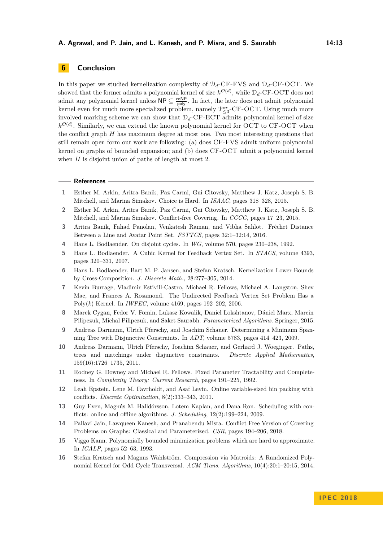## **6 Conclusion**

In this paper we studied kernelization complexity of  $\mathcal{D}_d$ -CF-FVS and  $\mathcal{D}_d$ -CF-OCT. We showed that the former admits a polynomial kernel of size  $k^{\mathcal{O}(d)}$ , while  $\mathcal{D}_d$ -CF-OCT does not admit any polynomial kernel unless  $\mathsf{NP} \subseteq \frac{\mathsf{coNP}}{\mathsf{poly}}$ . In fact, the later does not admit polynomial kernel even for much more specialized problem, namely  $\mathcal{P}_{\leq 3}^{**}$ -CF-OCT. Using much more involved marking scheme we can show that  $\mathcal{D}_d$ -CF-ECT admits polynomial kernel of size  $k^{\mathcal{O}(d)}$ . Similarly, we can extend the known polynomial kernel for OCT to CF-OCT when the conflict graph *H* has maximum degree at most one. Two most interesting questions that still remain open form our work are following: (a) does CF-FVS admit uniform polynomial kernel on graphs of bounded expansion; and (b) does CF-OCT admit a polynomial kernel when *H* is disjoint union of paths of length at most 2.

```
References
```
- <span id="page-12-12"></span>**1** Esther M. Arkin, Aritra Banik, Paz Carmi, Gui Citovsky, Matthew J. Katz, Joseph S. B. Mitchell, and Marina Simakov. Choice is Hard. In *ISAAC*, pages 318–328, 2015.
- <span id="page-12-13"></span>**2** Esther M. Arkin, Aritra Banik, Paz Carmi, Gui Citovsky, Matthew J. Katz, Joseph S. B. Mitchell, and Marina Simakov. Conflict-free Covering. In *CCCG*, pages 17–23, 2015.
- <span id="page-12-14"></span>**3** Aritra Banik, Fahad Panolan, Venkatesh Raman, and Vibha Sahlot. Fréchet Distance Between a Line and Avatar Point Set. *FSTTCS*, pages 32:1–32:14, 2016.
- <span id="page-12-0"></span>**4** Hans L. Bodlaender. On disjoint cycles. In *WG*, volume 570, pages 230–238, 1992.
- <span id="page-12-3"></span>**5** Hans L. Bodlaender. A Cubic Kernel for Feedback Vertex Set. In *STACS*, volume 4393, pages 320–331, 2007.
- <span id="page-12-6"></span>**6** Hans L. Bodlaender, Bart M. P. Jansen, and Stefan Kratsch. Kernelization Lower Bounds by Cross-Composition. *J. Discrete Math.*, 28:277–305, 2014.
- <span id="page-12-2"></span>**7** Kevin Burrage, Vladimir Estivill-Castro, Michael R. Fellows, Michael A. Langston, Shev Mac, and Frances A. Rosamond. The Undirected Feedback Vertex Set Problem Has a Poly(*k*) Kernel. In *IWPEC*, volume 4169, pages 192–202, 2006.
- <span id="page-12-15"></span>**8** Marek Cygan, Fedor V. Fomin, Lukasz Kowalik, Daniel Lokshtanov, Dániel Marx, Marcin Pilipczuk, Michal Pilipczuk, and Saket Saurabh. *Parameterized Algorithms*. Springer, 2015.
- <span id="page-12-11"></span>**9** Andreas Darmann, Ulrich Pferschy, and Joachim Schauer. Determining a Minimum Spanning Tree with Disjunctive Constraints. In *ADT*, volume 5783, pages 414–423, 2009.
- <span id="page-12-10"></span>**10** Andreas Darmann, Ulrich Pferschy, Joachim Schauer, and Gerhard J. Woeginger. Paths, trees and matchings under disjunctive constraints. *Discrete Applied Mathematics*, 159(16):1726–1735, 2011.
- <span id="page-12-1"></span>**11** Rodney G. Downey and Michael R. Fellows. Fixed Parameter Tractability and Completeness. In *Complexity Theory: Current Research*, pages 191–225, 1992.
- <span id="page-12-8"></span>**12** Leah Epstein, Lene M. Favrholdt, and Asaf Levin. Online variable-sized bin packing with conflicts. *Discrete Optimization*, 8(2):333–343, 2011.
- <span id="page-12-9"></span>**13** Guy Even, Magnús M. Halldórsson, Lotem Kaplan, and Dana Ron. Scheduling with conflicts: online and offline algorithms. *J. Scheduling*, 12(2):199–224, 2009.
- <span id="page-12-5"></span>**14** Pallavi Jain, Lawqueen Kanesh, and Pranabendu Misra. Conflict Free Version of Covering Problems on Graphs: Classical and Parameterized. *CSR*, pages 194–206, 2018.
- <span id="page-12-7"></span>**15** Viggo Kann. Polynomially bounded minimization problems which are hard to approximate. In *ICALP*, pages 52–63, 1993.
- <span id="page-12-4"></span>**16** Stefan Kratsch and Magnus Wahlström. Compression via Matroids: A Randomized Polynomial Kernel for Odd Cycle Transversal. *ACM Trans. Algorithms*, 10(4):20:1–20:15, 2014.